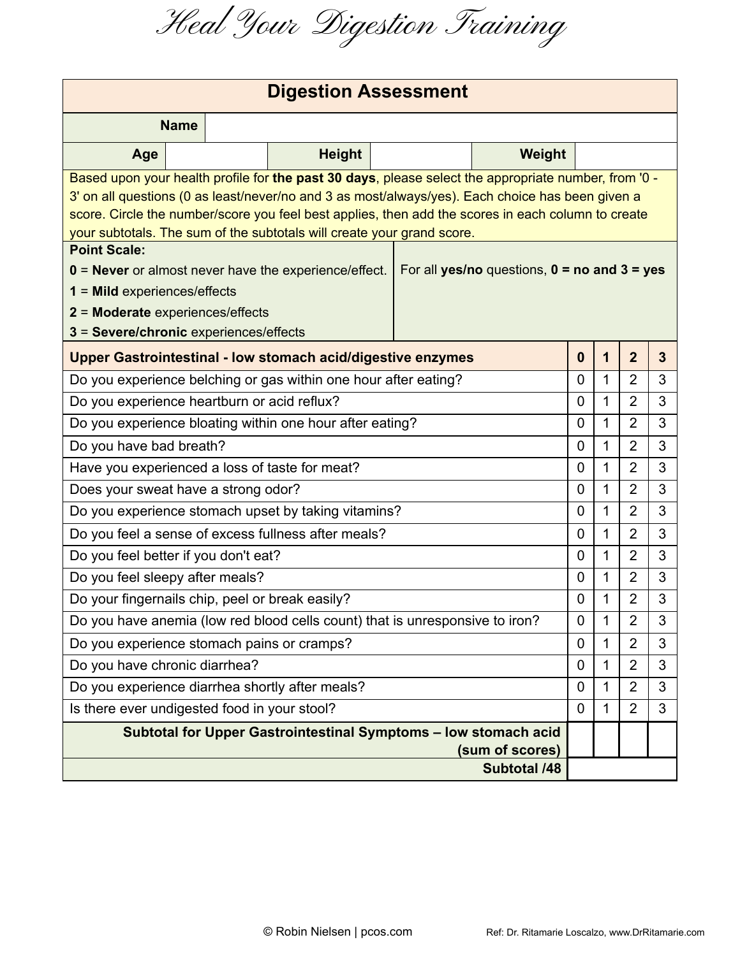Heal Your Digestion Training

| <b>Digestion Assessment</b>                                                                          |                                                                                                    |  |                                                                 |                |                |                                                  |                  |   |                |              |
|------------------------------------------------------------------------------------------------------|----------------------------------------------------------------------------------------------------|--|-----------------------------------------------------------------|----------------|----------------|--------------------------------------------------|------------------|---|----------------|--------------|
| <b>Name</b>                                                                                          |                                                                                                    |  |                                                                 |                |                |                                                  |                  |   |                |              |
| Age                                                                                                  |                                                                                                    |  | <b>Height</b>                                                   |                |                | Weight                                           |                  |   |                |              |
| Based upon your health profile for the past 30 days, please select the appropriate number, from '0 - |                                                                                                    |  |                                                                 |                |                |                                                  |                  |   |                |              |
| 3' on all questions (0 as least/never/no and 3 as most/always/yes). Each choice has been given a     |                                                                                                    |  |                                                                 |                |                |                                                  |                  |   |                |              |
|                                                                                                      | score. Circle the number/score you feel best applies, then add the scores in each column to create |  |                                                                 |                |                |                                                  |                  |   |                |              |
| your subtotals. The sum of the subtotals will create your grand score.<br><b>Point Scale:</b>        |                                                                                                    |  |                                                                 |                |                |                                                  |                  |   |                |              |
| $0 =$ Never or almost never have the experience/effect.                                              |                                                                                                    |  |                                                                 |                |                | For all yes/no questions, $0 =$ no and $3 =$ yes |                  |   |                |              |
| $1 =$ Mild experiences/effects                                                                       |                                                                                                    |  |                                                                 |                |                |                                                  |                  |   |                |              |
| 2 = Moderate experiences/effects                                                                     |                                                                                                    |  |                                                                 |                |                |                                                  |                  |   |                |              |
| 3 = Severe/chronic experiences/effects                                                               |                                                                                                    |  |                                                                 |                |                |                                                  |                  |   |                |              |
| <b>Upper Gastrointestinal - low stomach acid/digestive enzymes</b>                                   |                                                                                                    |  |                                                                 |                |                |                                                  | $\boldsymbol{0}$ | 1 | $\overline{2}$ | $\mathbf{3}$ |
| Do you experience belching or gas within one hour after eating?                                      |                                                                                                    |  |                                                                 |                | $\overline{0}$ | 1                                                | $\overline{2}$   | 3 |                |              |
| Do you experience heartburn or acid reflux?                                                          |                                                                                                    |  |                                                                 |                | $\overline{0}$ | 1                                                | $\overline{2}$   | 3 |                |              |
| Do you experience bloating within one hour after eating?                                             |                                                                                                    |  |                                                                 |                | $\overline{0}$ | 1                                                | $\overline{2}$   | 3 |                |              |
| Do you have bad breath?                                                                              |                                                                                                    |  |                                                                 |                | $\overline{0}$ | 1                                                | $\overline{2}$   | 3 |                |              |
| Have you experienced a loss of taste for meat?                                                       |                                                                                                    |  |                                                                 |                | $\overline{0}$ | 1                                                | $\overline{2}$   | 3 |                |              |
| Does your sweat have a strong odor?                                                                  |                                                                                                    |  |                                                                 |                | $\overline{0}$ | 1                                                | $\overline{2}$   | 3 |                |              |
| Do you experience stomach upset by taking vitamins?                                                  |                                                                                                    |  |                                                                 |                | 0              | 1                                                | $\overline{2}$   | 3 |                |              |
| Do you feel a sense of excess fullness after meals?                                                  |                                                                                                    |  |                                                                 | $\overline{0}$ | 1              | $\overline{2}$                                   | 3                |   |                |              |
| Do you feel better if you don't eat?                                                                 |                                                                                                    |  |                                                                 | 0              | 1              | $\overline{2}$                                   | 3                |   |                |              |
| Do you feel sleepy after meals?                                                                      |                                                                                                    |  |                                                                 |                |                |                                                  | $\mathbf{0}$     | 1 | $\overline{2}$ | 3            |
| Do your fingernails chip, peel or break easily?                                                      |                                                                                                    |  |                                                                 | 0              | 1              | $\overline{2}$                                   | 3                |   |                |              |
| Do you have anemia (low red blood cells count) that is unresponsive to iron?                         |                                                                                                    |  |                                                                 | 0              | 1              | $\overline{2}$                                   | 3                |   |                |              |
| Do you experience stomach pains or cramps?                                                           |                                                                                                    |  | 0                                                               | 1              | $\overline{2}$ | 3                                                |                  |   |                |              |
| Do you have chronic diarrhea?                                                                        |                                                                                                    |  |                                                                 | 0              | 1              | $\overline{2}$                                   | 3                |   |                |              |
| Do you experience diarrhea shortly after meals?                                                      |                                                                                                    |  |                                                                 | 0              | 1              | 2                                                | 3                |   |                |              |
| Is there ever undigested food in your stool?                                                         |                                                                                                    |  | 0                                                               | 1              | $\overline{2}$ | 3                                                |                  |   |                |              |
|                                                                                                      |                                                                                                    |  | Subtotal for Upper Gastrointestinal Symptoms - low stomach acid |                |                |                                                  |                  |   |                |              |
|                                                                                                      |                                                                                                    |  |                                                                 |                |                | (sum of scores)                                  |                  |   |                |              |
|                                                                                                      |                                                                                                    |  |                                                                 |                |                | <b>Subtotal /48</b>                              |                  |   |                |              |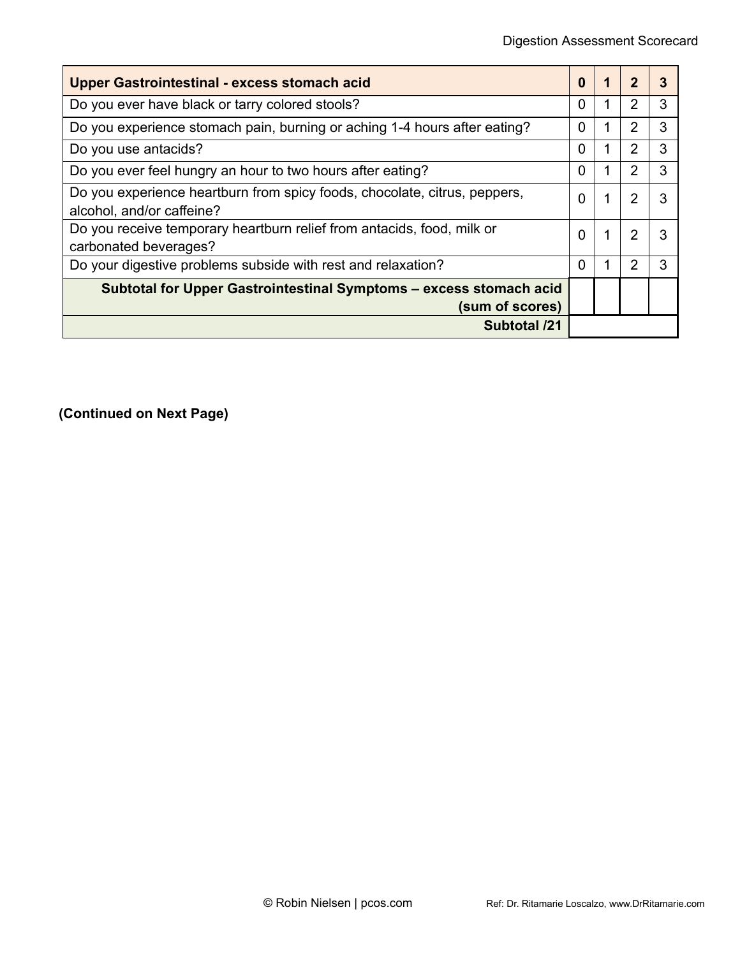| <b>Upper Gastrointestinal - excess stomach acid</b>                                                    |  |   |   |   |
|--------------------------------------------------------------------------------------------------------|--|---|---|---|
| Do you ever have black or tarry colored stools?                                                        |  |   | 2 | 3 |
| Do you experience stomach pain, burning or aching 1-4 hours after eating?                              |  |   | 2 | 3 |
| Do you use antacids?                                                                                   |  |   | 2 | 3 |
| Do you ever feel hungry an hour to two hours after eating?                                             |  |   | 2 | з |
| Do you experience heartburn from spicy foods, chocolate, citrus, peppers,<br>alcohol, and/or caffeine? |  |   | 2 |   |
| Do you receive temporary heartburn relief from antacids, food, milk or<br>carbonated beverages?        |  | 1 | 2 |   |
| Do your digestive problems subside with rest and relaxation?                                           |  |   |   |   |
| Subtotal for Upper Gastrointestinal Symptoms - excess stomach acid<br>(sum of scores)                  |  |   |   |   |
| <b>Subtotal /21</b>                                                                                    |  |   |   |   |

**(Continued on Next Page)**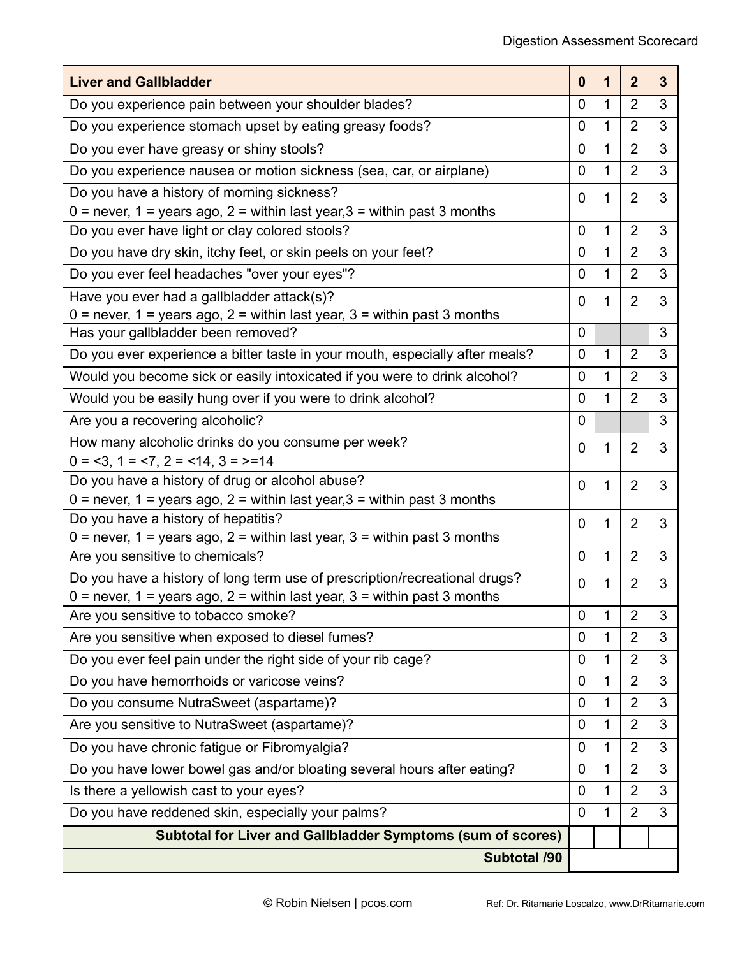| <b>Liver and Gallbladder</b>                                                                                      | $\boldsymbol{0}$ | 1            | $\overline{2}$ | $\overline{3}$ |
|-------------------------------------------------------------------------------------------------------------------|------------------|--------------|----------------|----------------|
| Do you experience pain between your shoulder blades?                                                              | $\overline{0}$   | $\mathbf{1}$ | $\overline{2}$ | 3              |
| Do you experience stomach upset by eating greasy foods?                                                           | $\overline{0}$   | $\mathbf{1}$ | $\overline{2}$ | 3              |
| Do you ever have greasy or shiny stools?                                                                          |                  |              |                | 3              |
| Do you experience nausea or motion sickness (sea, car, or airplane)                                               |                  |              |                | 3              |
| Do you have a history of morning sickness?                                                                        | 0                | 1            | $\overline{2}$ | 3              |
| $0 =$ never, $1 =$ years ago, $2 =$ within last year, $3 =$ within past 3 months                                  |                  |              |                |                |
| Do you ever have light or clay colored stools?                                                                    |                  |              |                | 3              |
| Do you have dry skin, itchy feet, or skin peels on your feet?                                                     |                  |              |                | 3              |
| Do you ever feel headaches "over your eyes"?                                                                      |                  |              |                | 3              |
| Have you ever had a gallbladder attack(s)?                                                                        | 0                | 1            | $\overline{2}$ | 3              |
| $0$ = never, 1 = years ago, 2 = within last year, 3 = within past 3 months                                        |                  |              |                |                |
| Has your gallbladder been removed?                                                                                | $\mathbf 0$      |              |                | 3              |
| Do you ever experience a bitter taste in your mouth, especially after meals?                                      | 0                | $\mathbf{1}$ | 2              | 3              |
| Would you become sick or easily intoxicated if you were to drink alcohol?                                         | 0                | $\mathbf{1}$ | $\overline{2}$ | 3              |
| Would you be easily hung over if you were to drink alcohol?                                                       | 0                | $\mathbf{1}$ | $\overline{2}$ | 3              |
| Are you a recovering alcoholic?                                                                                   | $\mathbf 0$      |              |                | 3              |
| How many alcoholic drinks do you consume per week?                                                                |                  |              | $\overline{2}$ | 3              |
| $0 = 3$ , $1 = 7$ , $2 = 14$ , $3 = 14$                                                                           |                  |              |                |                |
| Do you have a history of drug or alcohol abuse?                                                                   |                  |              | $\overline{2}$ | 3              |
| $0$ = never, 1 = years ago, 2 = within last year, 3 = within past 3 months                                        |                  |              |                |                |
| Do you have a history of hepatitis?                                                                               |                  |              | $\overline{2}$ | 3              |
| $0$ = never, 1 = years ago, 2 = within last year, 3 = within past 3 months                                        |                  |              |                |                |
| Are you sensitive to chemicals?                                                                                   |                  |              | $\overline{2}$ | 3              |
| Do you have a history of long term use of prescription/recreational drugs?                                        |                  |              | $\overline{2}$ | 3              |
| $0$ = never, 1 = years ago, 2 = within last year, 3 = within past 3 months<br>Are you sensitive to tobacco smoke? |                  | 1            | $\overline{2}$ | 3              |
|                                                                                                                   |                  |              | 2              | 3              |
| Are you sensitive when exposed to diesel fumes?                                                                   |                  |              |                |                |
| Do you ever feel pain under the right side of your rib cage?                                                      |                  |              | $\overline{2}$ | 3              |
| Do you have hemorrhoids or varicose veins?                                                                        |                  |              | $\overline{2}$ | 3              |
| Do you consume NutraSweet (aspartame)?                                                                            |                  |              | $\overline{2}$ | 3              |
| Are you sensitive to NutraSweet (aspartame)?                                                                      |                  |              | 2              | 3              |
| Do you have chronic fatigue or Fibromyalgia?                                                                      |                  |              | $\overline{2}$ | 3              |
| Do you have lower bowel gas and/or bloating several hours after eating?                                           |                  |              | $\overline{2}$ | 3              |
| Is there a yellowish cast to your eyes?                                                                           |                  |              | $\overline{2}$ | 3              |
| Do you have reddened skin, especially your palms?                                                                 |                  |              | $\overline{2}$ | 3              |
| <b>Subtotal for Liver and Gallbladder Symptoms (sum of scores)</b>                                                |                  |              |                |                |
| Subtotal /90                                                                                                      |                  |              |                |                |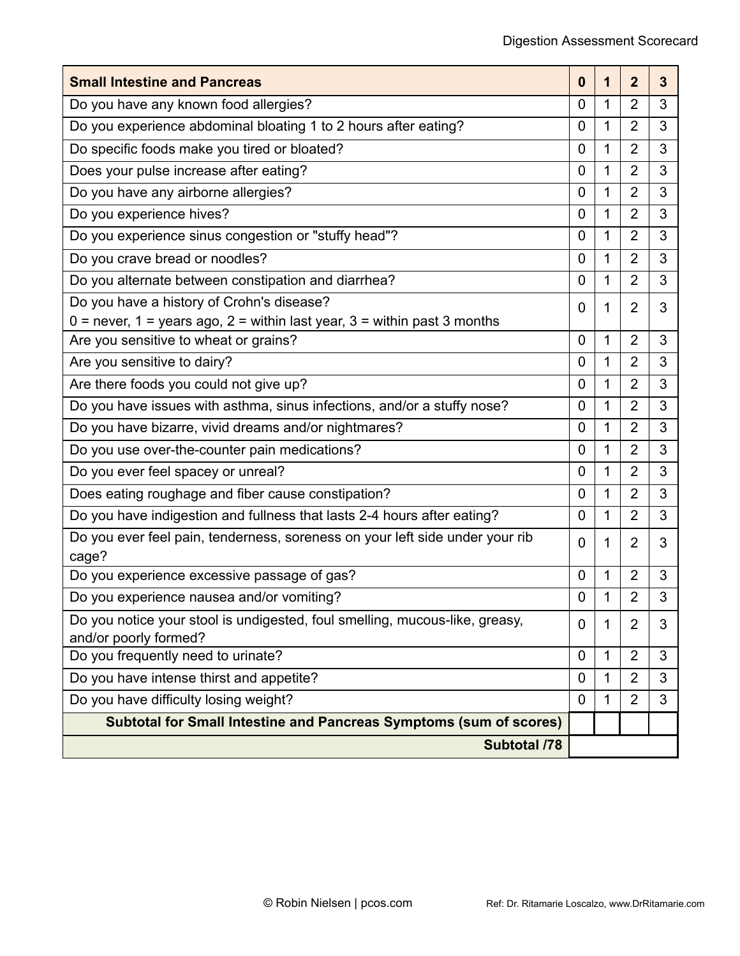| <b>Small Intestine and Pancreas</b>                                                                  |                |   |                | 3 |
|------------------------------------------------------------------------------------------------------|----------------|---|----------------|---|
| Do you have any known food allergies?                                                                |                |   |                | 3 |
| Do you experience abdominal bloating 1 to 2 hours after eating?                                      |                |   |                | 3 |
| Do specific foods make you tired or bloated?                                                         |                |   |                | 3 |
| Does your pulse increase after eating?                                                               |                |   |                | 3 |
| Do you have any airborne allergies?                                                                  |                |   |                | 3 |
| Do you experience hives?                                                                             | 0              | 1 | $\overline{2}$ | 3 |
| Do you experience sinus congestion or "stuffy head"?                                                 | 0              | 1 | $\overline{2}$ | 3 |
| Do you crave bread or noodles?                                                                       |                |   |                | 3 |
| Do you alternate between constipation and diarrhea?                                                  | 0              | 1 | $\overline{2}$ | 3 |
| Do you have a history of Crohn's disease?                                                            | 0              | 1 | $\overline{2}$ | 3 |
| $0$ = never, 1 = years ago, 2 = within last year, 3 = within past 3 months                           |                |   |                |   |
| Are you sensitive to wheat or grains?                                                                | $\mathbf 0$    | 1 | $\overline{2}$ | 3 |
| Are you sensitive to dairy?                                                                          |                |   | $\overline{2}$ | 3 |
| Are there foods you could not give up?                                                               |                |   | $\overline{2}$ | 3 |
| Do you have issues with asthma, sinus infections, and/or a stuffy nose?                              |                |   | $\overline{2}$ | 3 |
| Do you have bizarre, vivid dreams and/or nightmares?                                                 |                |   | $\overline{2}$ | 3 |
| Do you use over-the-counter pain medications?                                                        |                |   | $\overline{2}$ | 3 |
| Do you ever feel spacey or unreal?                                                                   |                |   | $\overline{2}$ | 3 |
| Does eating roughage and fiber cause constipation?                                                   |                |   | $\overline{2}$ | 3 |
| Do you have indigestion and fullness that lasts 2-4 hours after eating?                              |                |   | $\overline{2}$ | 3 |
| Do you ever feel pain, tenderness, soreness on your left side under your rib<br>cage?                | 0              | 1 | $\overline{2}$ | 3 |
| Do you experience excessive passage of gas?                                                          | $\overline{0}$ | 1 | $\overline{2}$ | 3 |
| Do you experience nausea and/or vomiting?                                                            |                | 1 | $\overline{2}$ | 3 |
| Do you notice your stool is undigested, foul smelling, mucous-like, greasy,<br>and/or poorly formed? |                | 1 | $\overline{2}$ | 3 |
| Do you frequently need to urinate?                                                                   |                |   | $\overline{2}$ | 3 |
| Do you have intense thirst and appetite?                                                             |                |   | $\overline{2}$ | 3 |
| Do you have difficulty losing weight?                                                                |                |   | $\overline{2}$ | 3 |
| Subtotal for Small Intestine and Pancreas Symptoms (sum of scores)                                   |                |   |                |   |
| <b>Subtotal /78</b>                                                                                  |                |   |                |   |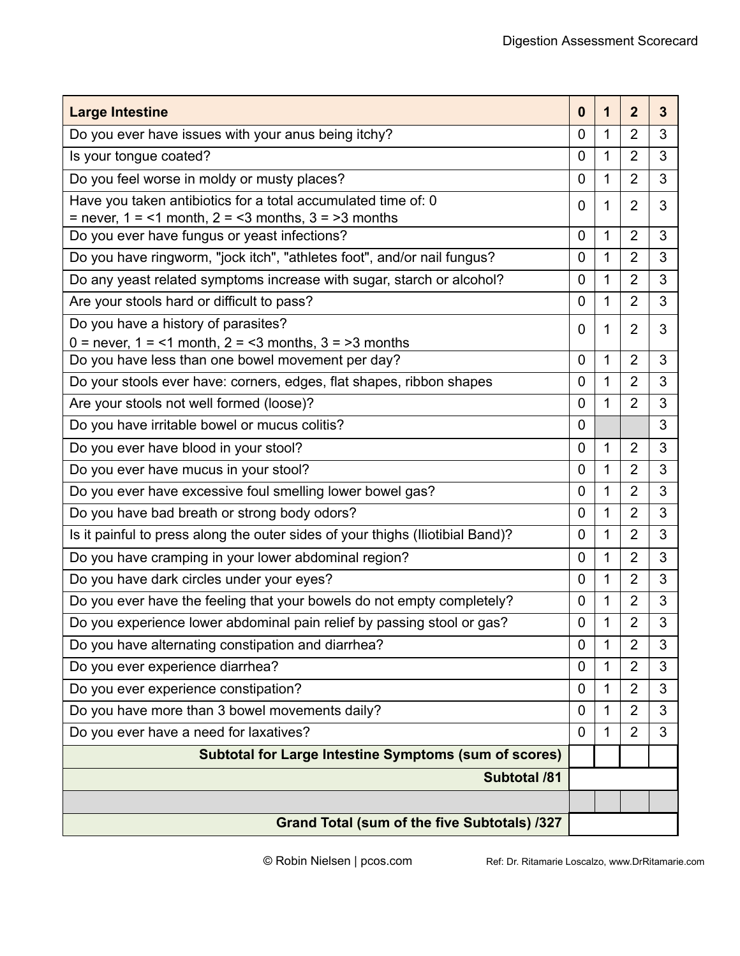| <b>Large Intestine</b>                                                         | $\bf{0}$       | 1 | $\overline{2}$ | $\overline{3}$ |
|--------------------------------------------------------------------------------|----------------|---|----------------|----------------|
| Do you ever have issues with your anus being itchy?                            |                |   |                | 3              |
| Is your tongue coated?                                                         |                |   | 2              | 3              |
| Do you feel worse in moldy or musty places?                                    |                |   | $\overline{2}$ | 3              |
| Have you taken antibiotics for a total accumulated time of: 0                  |                |   |                | 3              |
| $=$ never, 1 = <1 month, 2 = <3 months, 3 = >3 months                          |                |   |                |                |
| Do you ever have fungus or yeast infections?                                   |                |   |                | 3              |
| Do you have ringworm, "jock itch", "athletes foot", and/or nail fungus?        | 0              | 1 | $\overline{2}$ | 3              |
| Do any yeast related symptoms increase with sugar, starch or alcohol?          | 0              | 1 | $\overline{2}$ | 3              |
| Are your stools hard or difficult to pass?                                     | 0              | 1 | 2              | 3              |
| Do you have a history of parasites?                                            | 0              | 1 | $\overline{2}$ | 3              |
| $0 =$ never, $1 =$ <1 month, $2 =$ <3 months, $3 =$ >3 months                  |                |   |                |                |
| Do you have less than one bowel movement per day?                              | 0              | 1 | $\overline{2}$ | 3              |
| Do your stools ever have: corners, edges, flat shapes, ribbon shapes           | $\mathbf 0$    | 1 | $\overline{2}$ | 3              |
| Are your stools not well formed (loose)?                                       | $\overline{0}$ | 1 | $\overline{2}$ | 3              |
| Do you have irritable bowel or mucus colitis?                                  | $\overline{0}$ |   |                | 3              |
| Do you ever have blood in your stool?                                          |                |   | $\overline{2}$ | 3              |
| Do you ever have mucus in your stool?                                          |                |   | $\overline{2}$ | 3              |
| Do you ever have excessive foul smelling lower bowel gas?                      |                |   | $\overline{2}$ | 3              |
| Do you have bad breath or strong body odors?                                   |                |   | 2              | 3              |
| Is it painful to press along the outer sides of your thighs (Iliotibial Band)? |                |   | $\overline{2}$ | 3              |
| Do you have cramping in your lower abdominal region?                           |                |   | $\overline{2}$ | 3              |
| Do you have dark circles under your eyes?                                      |                |   | $\overline{2}$ | 3              |
| Do you ever have the feeling that your bowels do not empty completely?         |                |   | $\overline{2}$ | 3              |
| Do you experience lower abdominal pain relief by passing stool or gas?         |                |   | $\overline{2}$ | 3              |
| Do you have alternating constipation and diarrhea?                             |                |   | $\overline{2}$ | 3              |
| Do you ever experience diarrhea?                                               | 0              | 1 | 2              | 3              |
| Do you ever experience constipation?                                           | 0              | 1 | 2              | 3              |
| Do you have more than 3 bowel movements daily?                                 | 0              | 1 | 2              | 3              |
| Do you ever have a need for laxatives?                                         |                |   | $\overline{2}$ | 3              |
| <b>Subtotal for Large Intestine Symptoms (sum of scores)</b>                   |                |   |                |                |
| <b>Subtotal /81</b>                                                            |                |   |                |                |
|                                                                                |                |   |                |                |
| Grand Total (sum of the five Subtotals) /327                                   |                |   |                |                |